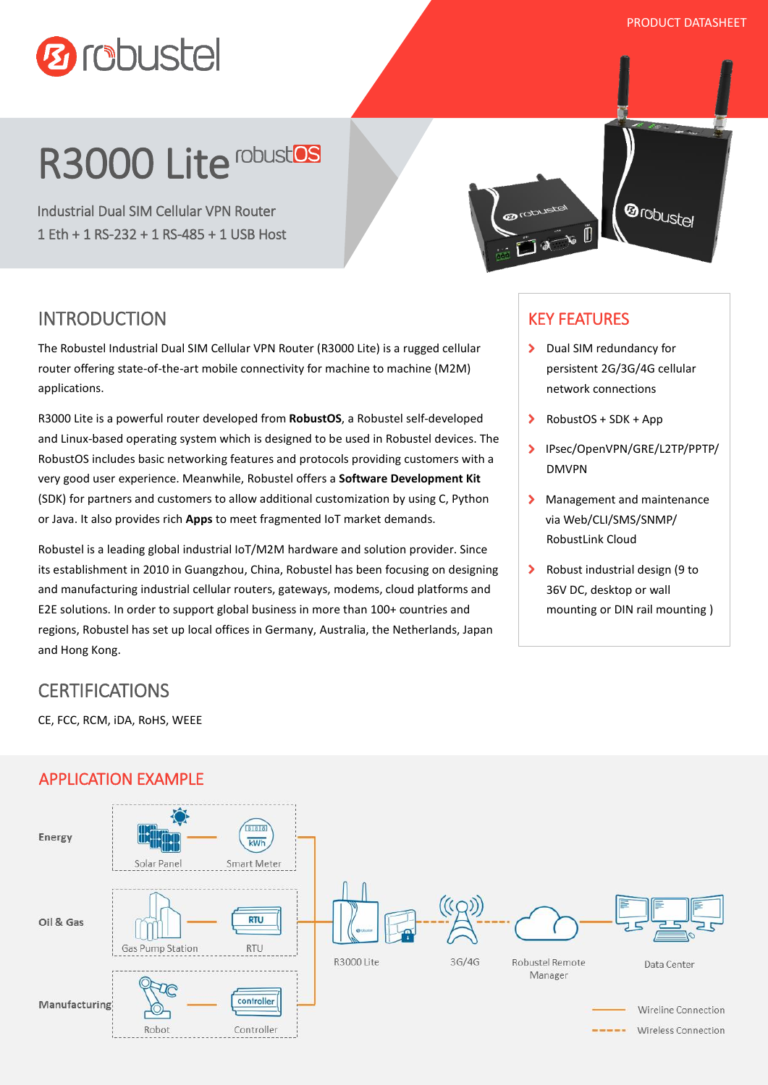PRODUCT DATASHEET



# R3000 Lite robustos

Industrial Dual SIM Cellular VPN Router 1 Eth + 1 RS-232 + 1 RS-485 + 1 USB Host



## INTRODUCTION

The Robustel Industrial Dual SIM Cellular VPN Router (R3000 Lite) is a rugged cellular router offering state-of-the-art mobile connectivity for machine to machine (M2M) applications.

R3000 Lite is a powerful router developed from **RobustOS**, a Robustel self-developed and Linux-based operating system which is designed to be used in Robustel devices. The RobustOS includes basic networking features and protocols providing customers with a very good user experience. Meanwhile, Robustel offers a **Software Development Kit** (SDK) for partners and customers to allow additional customization by using C, Python or Java. It also provides rich **Apps** to meet fragmented IoT market demands.

Robustel is a leading global industrial IoT/M2M hardware and solution provider. Since its establishment in 2010 in Guangzhou, China, Robustel has been focusing on designing and manufacturing industrial cellular routers, gateways, modems, cloud platforms and E2E solutions. In order to support global business in more than 100+ countries and regions, Robustel has set up local offices in Germany, Australia, the Netherlands, Japan and Hong Kong.

### KEY FEATURES

- > Dual SIM redundancy for persistent 2G/3G/4G cellular network connections
- $\blacktriangleright$  RobustOS + SDK + App
- IPsec/OpenVPN/GRE/L2TP/PPTP/ DMVPN
- Management and maintenance via Web/CLI/SMS/SNMP/ RobustLink Cloud
- ▶ Robust industrial design (9 to 36V DC, desktop or wall mounting or DIN rail mounting )

## **CERTIFICATIONS**

CE, FCC, RCM, iDA, RoHS, WEEE



#### APPLICATION EXAMPLE